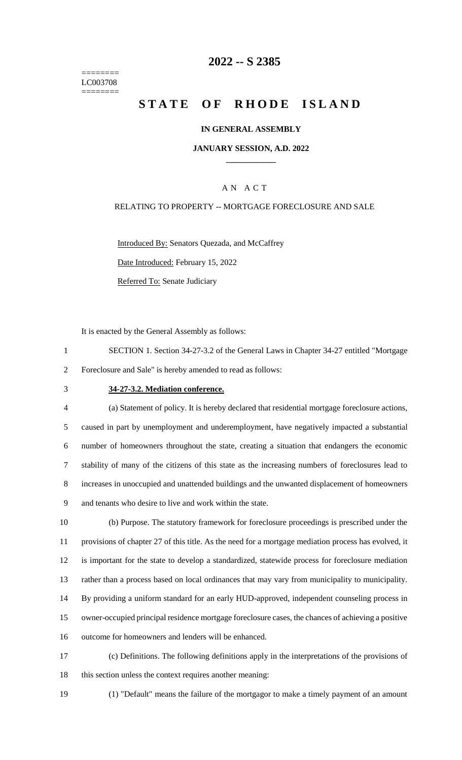======== LC003708 ========

## **2022 -- S 2385**

# **STATE OF RHODE ISLAND**

#### **IN GENERAL ASSEMBLY**

#### **JANUARY SESSION, A.D. 2022 \_\_\_\_\_\_\_\_\_\_\_\_**

#### A N A C T

#### RELATING TO PROPERTY -- MORTGAGE FORECLOSURE AND SALE

Introduced By: Senators Quezada, and McCaffrey Date Introduced: February 15, 2022 Referred To: Senate Judiciary

It is enacted by the General Assembly as follows:

- 1 SECTION 1. Section 34-27-3.2 of the General Laws in Chapter 34-27 entitled "Mortgage 2 Foreclosure and Sale" is hereby amended to read as follows:
- 

#### 3 **34-27-3.2. Mediation conference.**

 (a) Statement of policy. It is hereby declared that residential mortgage foreclosure actions, caused in part by unemployment and underemployment, have negatively impacted a substantial number of homeowners throughout the state, creating a situation that endangers the economic stability of many of the citizens of this state as the increasing numbers of foreclosures lead to increases in unoccupied and unattended buildings and the unwanted displacement of homeowners and tenants who desire to live and work within the state.

 (b) Purpose. The statutory framework for foreclosure proceedings is prescribed under the provisions of chapter 27 of this title. As the need for a mortgage mediation process has evolved, it is important for the state to develop a standardized, statewide process for foreclosure mediation rather than a process based on local ordinances that may vary from municipality to municipality. By providing a uniform standard for an early HUD-approved, independent counseling process in owner-occupied principal residence mortgage foreclosure cases, the chances of achieving a positive outcome for homeowners and lenders will be enhanced.

- 17 (c) Definitions. The following definitions apply in the interpretations of the provisions of 18 this section unless the context requires another meaning:
- 
- 19 (1) "Default" means the failure of the mortgagor to make a timely payment of an amount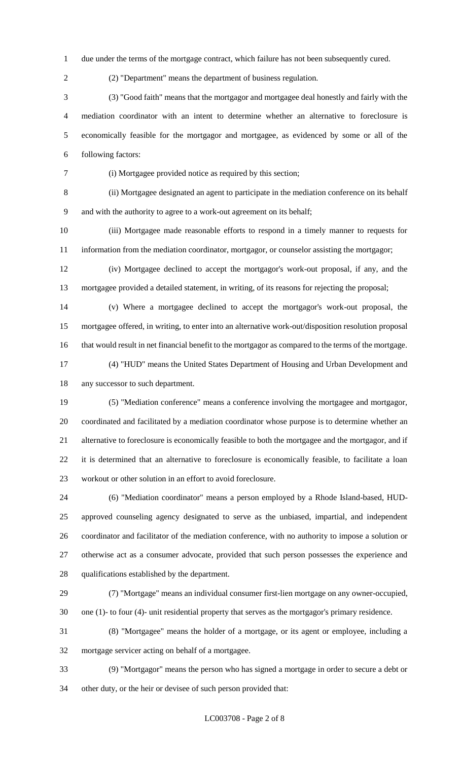due under the terms of the mortgage contract, which failure has not been subsequently cured.

(2) "Department" means the department of business regulation.

 (3) "Good faith" means that the mortgagor and mortgagee deal honestly and fairly with the mediation coordinator with an intent to determine whether an alternative to foreclosure is economically feasible for the mortgagor and mortgagee, as evidenced by some or all of the following factors:

(i) Mortgagee provided notice as required by this section;

 (ii) Mortgagee designated an agent to participate in the mediation conference on its behalf and with the authority to agree to a work-out agreement on its behalf;

 (iii) Mortgagee made reasonable efforts to respond in a timely manner to requests for information from the mediation coordinator, mortgagor, or counselor assisting the mortgagor;

 (iv) Mortgagee declined to accept the mortgagor's work-out proposal, if any, and the mortgagee provided a detailed statement, in writing, of its reasons for rejecting the proposal;

 (v) Where a mortgagee declined to accept the mortgagor's work-out proposal, the mortgagee offered, in writing, to enter into an alternative work-out/disposition resolution proposal that would result in net financial benefit to the mortgagor as compared to the terms of the mortgage.

 (4) "HUD" means the United States Department of Housing and Urban Development and any successor to such department.

 (5) "Mediation conference" means a conference involving the mortgagee and mortgagor, coordinated and facilitated by a mediation coordinator whose purpose is to determine whether an alternative to foreclosure is economically feasible to both the mortgagee and the mortgagor, and if it is determined that an alternative to foreclosure is economically feasible, to facilitate a loan workout or other solution in an effort to avoid foreclosure.

 (6) "Mediation coordinator" means a person employed by a Rhode Island-based, HUD- approved counseling agency designated to serve as the unbiased, impartial, and independent coordinator and facilitator of the mediation conference, with no authority to impose a solution or otherwise act as a consumer advocate, provided that such person possesses the experience and qualifications established by the department.

 (7) "Mortgage" means an individual consumer first-lien mortgage on any owner-occupied, one (1)- to four (4)- unit residential property that serves as the mortgagor's primary residence.

 (8) "Mortgagee" means the holder of a mortgage, or its agent or employee, including a mortgage servicer acting on behalf of a mortgagee.

 (9) "Mortgagor" means the person who has signed a mortgage in order to secure a debt or other duty, or the heir or devisee of such person provided that: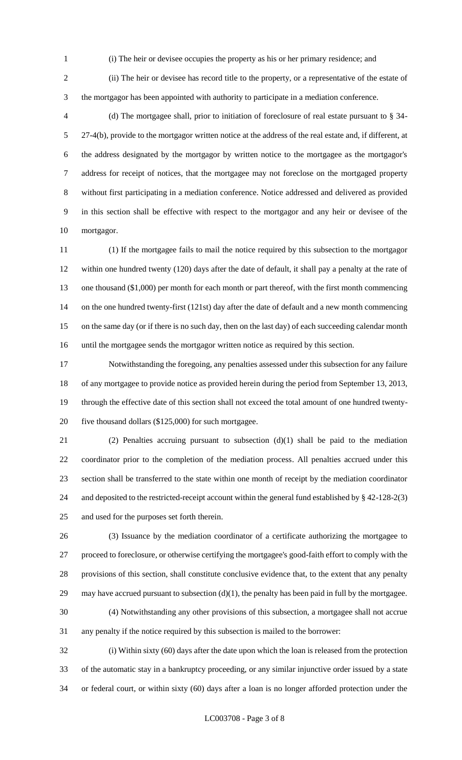- (i) The heir or devisee occupies the property as his or her primary residence; and
- 

 (ii) The heir or devisee has record title to the property, or a representative of the estate of the mortgagor has been appointed with authority to participate in a mediation conference.

 (d) The mortgagee shall, prior to initiation of foreclosure of real estate pursuant to § 34- 27-4(b), provide to the mortgagor written notice at the address of the real estate and, if different, at the address designated by the mortgagor by written notice to the mortgagee as the mortgagor's address for receipt of notices, that the mortgagee may not foreclose on the mortgaged property without first participating in a mediation conference. Notice addressed and delivered as provided in this section shall be effective with respect to the mortgagor and any heir or devisee of the mortgagor.

 (1) If the mortgagee fails to mail the notice required by this subsection to the mortgagor within one hundred twenty (120) days after the date of default, it shall pay a penalty at the rate of 13 one thousand (\$1,000) per month for each month or part thereof, with the first month commencing on the one hundred twenty-first (121st) day after the date of default and a new month commencing on the same day (or if there is no such day, then on the last day) of each succeeding calendar month until the mortgagee sends the mortgagor written notice as required by this section.

 Notwithstanding the foregoing, any penalties assessed under this subsection for any failure of any mortgagee to provide notice as provided herein during the period from September 13, 2013, through the effective date of this section shall not exceed the total amount of one hundred twenty-five thousand dollars (\$125,000) for such mortgagee.

 (2) Penalties accruing pursuant to subsection (d)(1) shall be paid to the mediation coordinator prior to the completion of the mediation process. All penalties accrued under this section shall be transferred to the state within one month of receipt by the mediation coordinator and deposited to the restricted-receipt account within the general fund established by § 42-128-2(3) and used for the purposes set forth therein.

 (3) Issuance by the mediation coordinator of a certificate authorizing the mortgagee to proceed to foreclosure, or otherwise certifying the mortgagee's good-faith effort to comply with the provisions of this section, shall constitute conclusive evidence that, to the extent that any penalty 29 may have accrued pursuant to subsection  $(d)(1)$ , the penalty has been paid in full by the mortgagee. (4) Notwithstanding any other provisions of this subsection, a mortgagee shall not accrue

any penalty if the notice required by this subsection is mailed to the borrower:

 (i) Within sixty (60) days after the date upon which the loan is released from the protection of the automatic stay in a bankruptcy proceeding, or any similar injunctive order issued by a state or federal court, or within sixty (60) days after a loan is no longer afforded protection under the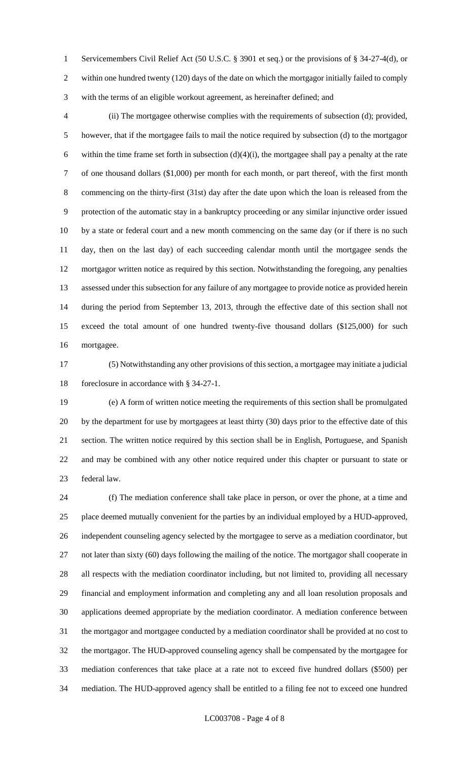Servicemembers Civil Relief Act (50 U.S.C. § 3901 et seq.) or the provisions of § 34-27-4(d), or within one hundred twenty (120) days of the date on which the mortgagor initially failed to comply with the terms of an eligible workout agreement, as hereinafter defined; and

 (ii) The mortgagee otherwise complies with the requirements of subsection (d); provided, however, that if the mortgagee fails to mail the notice required by subsection (d) to the mortgagor 6 within the time frame set forth in subsection  $(d)(4)(i)$ , the mortgagee shall pay a penalty at the rate of one thousand dollars (\$1,000) per month for each month, or part thereof, with the first month commencing on the thirty-first (31st) day after the date upon which the loan is released from the protection of the automatic stay in a bankruptcy proceeding or any similar injunctive order issued by a state or federal court and a new month commencing on the same day (or if there is no such day, then on the last day) of each succeeding calendar month until the mortgagee sends the mortgagor written notice as required by this section. Notwithstanding the foregoing, any penalties assessed under this subsection for any failure of any mortgagee to provide notice as provided herein during the period from September 13, 2013, through the effective date of this section shall not exceed the total amount of one hundred twenty-five thousand dollars (\$125,000) for such mortgagee.

 (5) Notwithstanding any other provisions of this section, a mortgagee may initiate a judicial foreclosure in accordance with § 34-27-1.

 (e) A form of written notice meeting the requirements of this section shall be promulgated by the department for use by mortgagees at least thirty (30) days prior to the effective date of this section. The written notice required by this section shall be in English, Portuguese, and Spanish and may be combined with any other notice required under this chapter or pursuant to state or federal law.

 (f) The mediation conference shall take place in person, or over the phone, at a time and place deemed mutually convenient for the parties by an individual employed by a HUD-approved, independent counseling agency selected by the mortgagee to serve as a mediation coordinator, but not later than sixty (60) days following the mailing of the notice. The mortgagor shall cooperate in all respects with the mediation coordinator including, but not limited to, providing all necessary financial and employment information and completing any and all loan resolution proposals and applications deemed appropriate by the mediation coordinator. A mediation conference between the mortgagor and mortgagee conducted by a mediation coordinator shall be provided at no cost to the mortgagor. The HUD-approved counseling agency shall be compensated by the mortgagee for mediation conferences that take place at a rate not to exceed five hundred dollars (\$500) per mediation. The HUD-approved agency shall be entitled to a filing fee not to exceed one hundred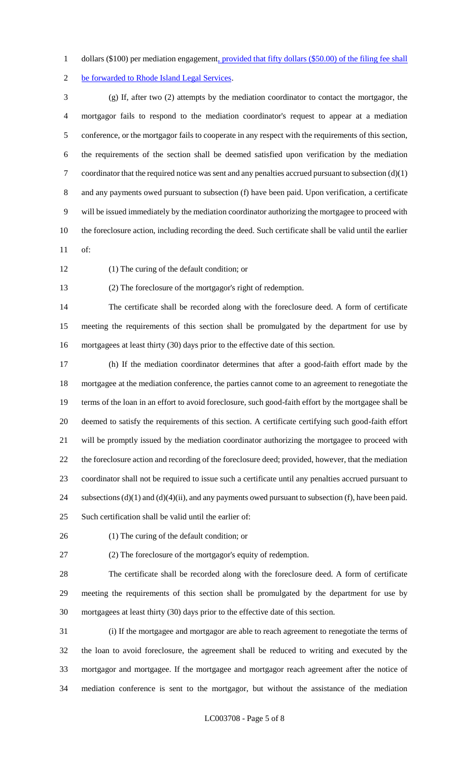1 dollars (\$100) per mediation engagement, provided that fifty dollars (\$50.00) of the filing fee shall

be forwarded to Rhode Island Legal Services.

 (g) If, after two (2) attempts by the mediation coordinator to contact the mortgagor, the mortgagor fails to respond to the mediation coordinator's request to appear at a mediation conference, or the mortgagor fails to cooperate in any respect with the requirements of this section, the requirements of the section shall be deemed satisfied upon verification by the mediation 7 coordinator that the required notice was sent and any penalties accrued pursuant to subsection  $(d)(1)$  and any payments owed pursuant to subsection (f) have been paid. Upon verification, a certificate will be issued immediately by the mediation coordinator authorizing the mortgagee to proceed with the foreclosure action, including recording the deed. Such certificate shall be valid until the earlier of:

(1) The curing of the default condition; or

(2) The foreclosure of the mortgagor's right of redemption.

 The certificate shall be recorded along with the foreclosure deed. A form of certificate meeting the requirements of this section shall be promulgated by the department for use by mortgagees at least thirty (30) days prior to the effective date of this section.

 (h) If the mediation coordinator determines that after a good-faith effort made by the mortgagee at the mediation conference, the parties cannot come to an agreement to renegotiate the terms of the loan in an effort to avoid foreclosure, such good-faith effort by the mortgagee shall be deemed to satisfy the requirements of this section. A certificate certifying such good-faith effort will be promptly issued by the mediation coordinator authorizing the mortgagee to proceed with the foreclosure action and recording of the foreclosure deed; provided, however, that the mediation coordinator shall not be required to issue such a certificate until any penalties accrued pursuant to 24 subsections (d)(1) and (d)(4)(ii), and any payments owed pursuant to subsection (f), have been paid. Such certification shall be valid until the earlier of:

(1) The curing of the default condition; or

(2) The foreclosure of the mortgagor's equity of redemption.

 The certificate shall be recorded along with the foreclosure deed. A form of certificate meeting the requirements of this section shall be promulgated by the department for use by mortgagees at least thirty (30) days prior to the effective date of this section.

 (i) If the mortgagee and mortgagor are able to reach agreement to renegotiate the terms of the loan to avoid foreclosure, the agreement shall be reduced to writing and executed by the mortgagor and mortgagee. If the mortgagee and mortgagor reach agreement after the notice of mediation conference is sent to the mortgagor, but without the assistance of the mediation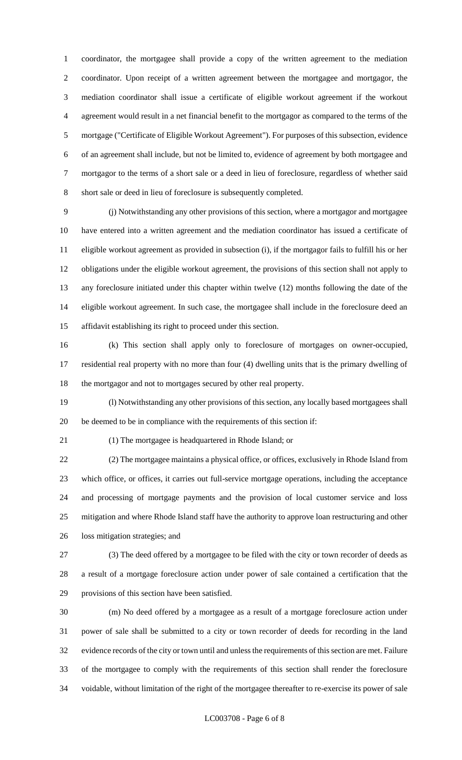coordinator, the mortgagee shall provide a copy of the written agreement to the mediation coordinator. Upon receipt of a written agreement between the mortgagee and mortgagor, the mediation coordinator shall issue a certificate of eligible workout agreement if the workout agreement would result in a net financial benefit to the mortgagor as compared to the terms of the mortgage ("Certificate of Eligible Workout Agreement"). For purposes of this subsection, evidence of an agreement shall include, but not be limited to, evidence of agreement by both mortgagee and mortgagor to the terms of a short sale or a deed in lieu of foreclosure, regardless of whether said short sale or deed in lieu of foreclosure is subsequently completed.

 (j) Notwithstanding any other provisions of this section, where a mortgagor and mortgagee have entered into a written agreement and the mediation coordinator has issued a certificate of eligible workout agreement as provided in subsection (i), if the mortgagor fails to fulfill his or her obligations under the eligible workout agreement, the provisions of this section shall not apply to any foreclosure initiated under this chapter within twelve (12) months following the date of the eligible workout agreement. In such case, the mortgagee shall include in the foreclosure deed an affidavit establishing its right to proceed under this section.

 (k) This section shall apply only to foreclosure of mortgages on owner-occupied, residential real property with no more than four (4) dwelling units that is the primary dwelling of the mortgagor and not to mortgages secured by other real property.

 (l) Notwithstanding any other provisions of this section, any locally based mortgagees shall be deemed to be in compliance with the requirements of this section if:

(1) The mortgagee is headquartered in Rhode Island; or

 (2) The mortgagee maintains a physical office, or offices, exclusively in Rhode Island from which office, or offices, it carries out full-service mortgage operations, including the acceptance and processing of mortgage payments and the provision of local customer service and loss mitigation and where Rhode Island staff have the authority to approve loan restructuring and other loss mitigation strategies; and

 (3) The deed offered by a mortgagee to be filed with the city or town recorder of deeds as a result of a mortgage foreclosure action under power of sale contained a certification that the provisions of this section have been satisfied.

 (m) No deed offered by a mortgagee as a result of a mortgage foreclosure action under power of sale shall be submitted to a city or town recorder of deeds for recording in the land evidence records of the city or town until and unless the requirements of this section are met. Failure of the mortgagee to comply with the requirements of this section shall render the foreclosure voidable, without limitation of the right of the mortgagee thereafter to re-exercise its power of sale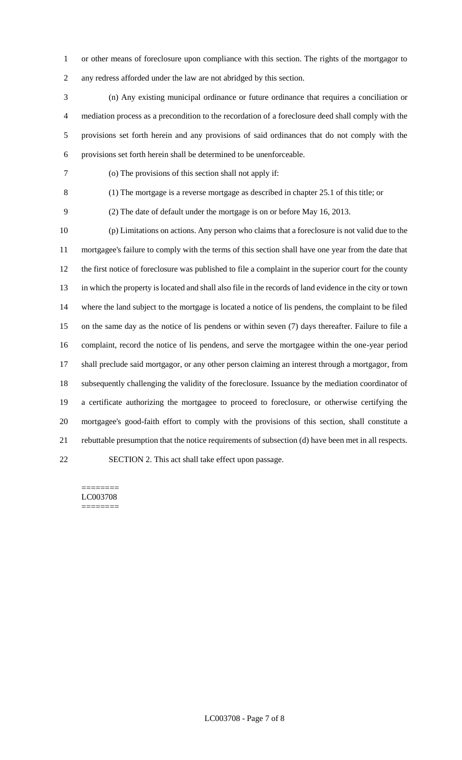or other means of foreclosure upon compliance with this section. The rights of the mortgagor to any redress afforded under the law are not abridged by this section.

 (n) Any existing municipal ordinance or future ordinance that requires a conciliation or mediation process as a precondition to the recordation of a foreclosure deed shall comply with the provisions set forth herein and any provisions of said ordinances that do not comply with the provisions set forth herein shall be determined to be unenforceable.

(o) The provisions of this section shall not apply if:

(1) The mortgage is a reverse mortgage as described in chapter 25.1 of this title; or

(2) The date of default under the mortgage is on or before May 16, 2013.

 (p) Limitations on actions. Any person who claims that a foreclosure is not valid due to the mortgagee's failure to comply with the terms of this section shall have one year from the date that the first notice of foreclosure was published to file a complaint in the superior court for the county in which the property is located and shall also file in the records of land evidence in the city or town where the land subject to the mortgage is located a notice of lis pendens, the complaint to be filed on the same day as the notice of lis pendens or within seven (7) days thereafter. Failure to file a complaint, record the notice of lis pendens, and serve the mortgagee within the one-year period shall preclude said mortgagor, or any other person claiming an interest through a mortgagor, from subsequently challenging the validity of the foreclosure. Issuance by the mediation coordinator of a certificate authorizing the mortgagee to proceed to foreclosure, or otherwise certifying the mortgagee's good-faith effort to comply with the provisions of this section, shall constitute a rebuttable presumption that the notice requirements of subsection (d) have been met in all respects. SECTION 2. This act shall take effect upon passage.

======== LC003708 ========